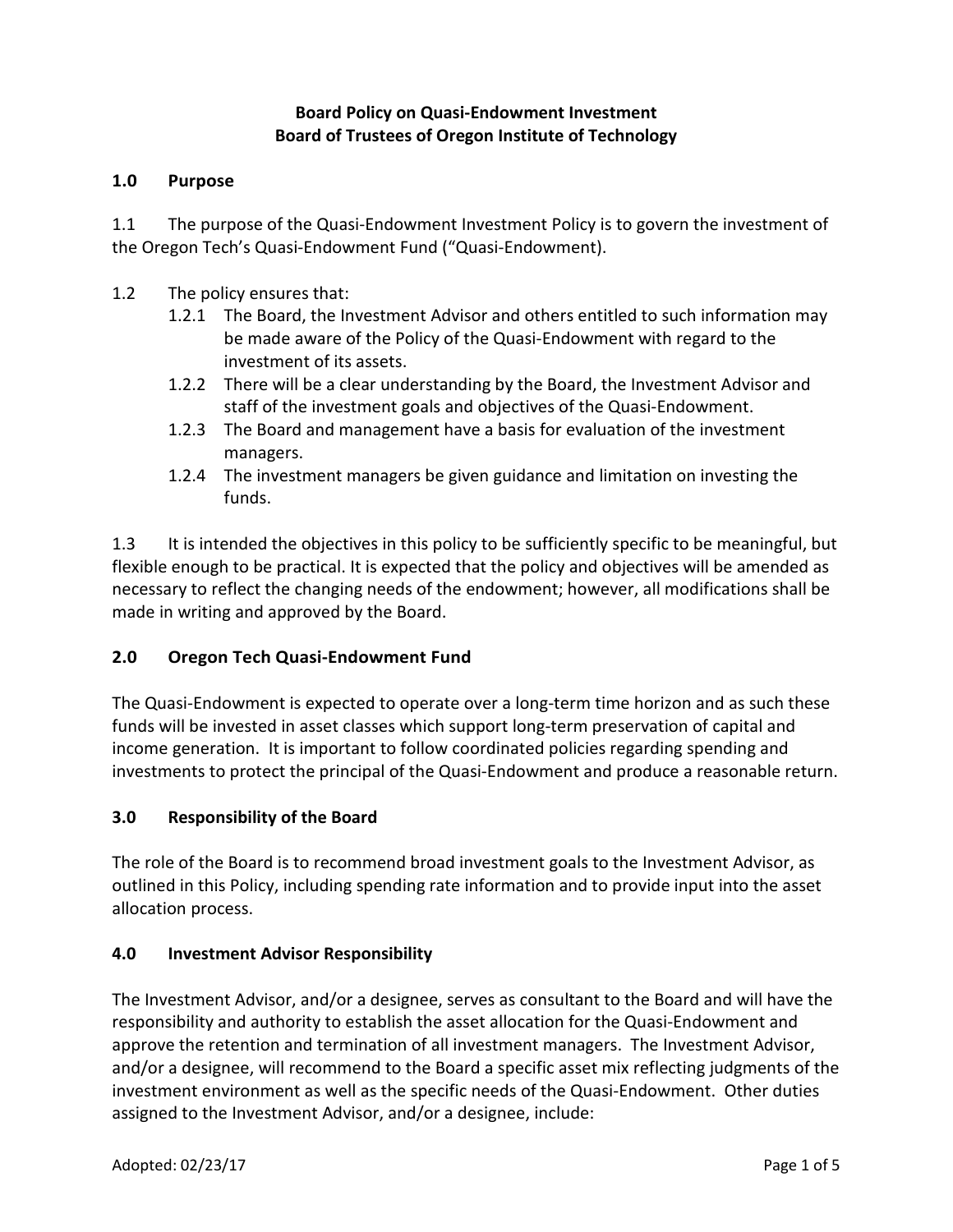## **Board Policy on Quasi-Endowment Investment Board of Trustees of Oregon Institute of Technology**

## **1.0 Purpose**

1.1 The purpose of the Quasi-Endowment Investment Policy is to govern the investment of the Oregon Tech's Quasi-Endowment Fund ("Quasi-Endowment).

- 1.2 The policy ensures that:
	- 1.2.1 The Board, the Investment Advisor and others entitled to such information may be made aware of the Policy of the Quasi-Endowment with regard to the investment of its assets.
	- 1.2.2 There will be a clear understanding by the Board, the Investment Advisor and staff of the investment goals and objectives of the Quasi-Endowment.
	- 1.2.3 The Board and management have a basis for evaluation of the investment managers.
	- 1.2.4 The investment managers be given guidance and limitation on investing the funds.

1.3 It is intended the objectives in this policy to be sufficiently specific to be meaningful, but flexible enough to be practical. It is expected that the policy and objectives will be amended as necessary to reflect the changing needs of the endowment; however, all modifications shall be made in writing and approved by the Board.

# **2.0 Oregon Tech Quasi-Endowment Fund**

The Quasi-Endowment is expected to operate over a long-term time horizon and as such these funds will be invested in asset classes which support long-term preservation of capital and income generation. It is important to follow coordinated policies regarding spending and investments to protect the principal of the Quasi-Endowment and produce a reasonable return.

# **3.0 Responsibility of the Board**

The role of the Board is to recommend broad investment goals to the Investment Advisor, as outlined in this Policy, including spending rate information and to provide input into the asset allocation process.

### **4.0 Investment Advisor Responsibility**

The Investment Advisor, and/or a designee, serves as consultant to the Board and will have the responsibility and authority to establish the asset allocation for the Quasi-Endowment and approve the retention and termination of all investment managers. The Investment Advisor, and/or a designee, will recommend to the Board a specific asset mix reflecting judgments of the investment environment as well as the specific needs of the Quasi-Endowment. Other duties assigned to the Investment Advisor, and/or a designee, include: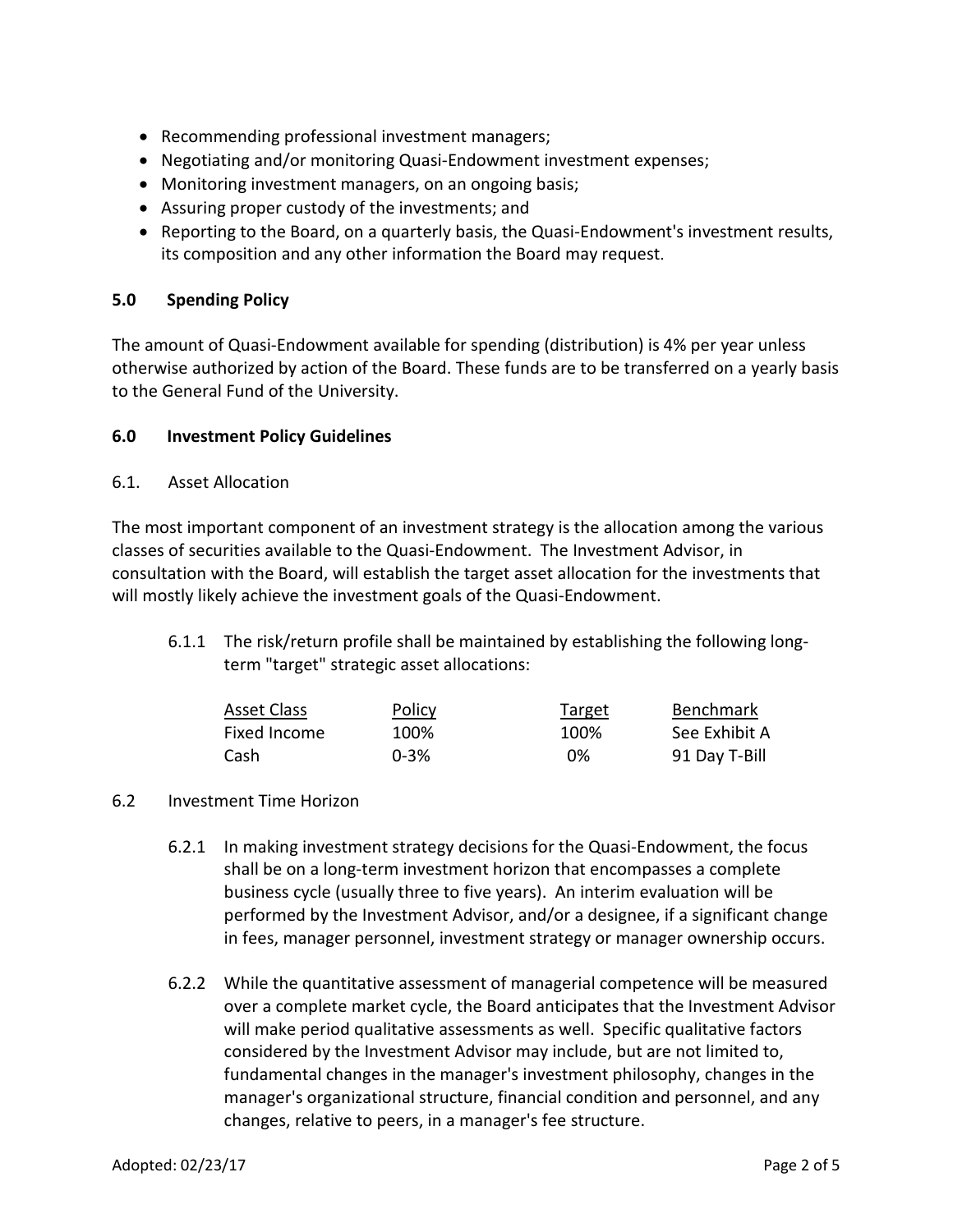- Recommending professional investment managers;
- Negotiating and/or monitoring Quasi-Endowment investment expenses;
- Monitoring investment managers, on an ongoing basis;
- Assuring proper custody of the investments; and
- Reporting to the Board, on a quarterly basis, the Quasi-Endowment's investment results, its composition and any other information the Board may request.

### **5.0 Spending Policy**

The amount of Quasi-Endowment available for spending (distribution) is 4% per year unless otherwise authorized by action of the Board. These funds are to be transferred on a yearly basis to the General Fund of the University.

#### **6.0 Investment Policy Guidelines**

6.1. Asset Allocation

The most important component of an investment strategy is the allocation among the various classes of securities available to the Quasi-Endowment. The Investment Advisor, in consultation with the Board, will establish the target asset allocation for the investments that will mostly likely achieve the investment goals of the Quasi-Endowment.

6.1.1 The risk/return profile shall be maintained by establishing the following longterm "target" strategic asset allocations:

| Asset Class  | <u>Policy</u> | Target | Benchmark     |
|--------------|---------------|--------|---------------|
| Fixed Income | 100%          | 100%   | See Exhibit A |
| Cash         | $0 - 3%$      | 0%     | 91 Day T-Bill |

#### 6.2 Investment Time Horizon

- 6.2.1 In making investment strategy decisions for the Quasi-Endowment, the focus shall be on a long-term investment horizon that encompasses a complete business cycle (usually three to five years). An interim evaluation will be performed by the Investment Advisor, and/or a designee, if a significant change in fees, manager personnel, investment strategy or manager ownership occurs.
- 6.2.2 While the quantitative assessment of managerial competence will be measured over a complete market cycle, the Board anticipates that the Investment Advisor will make period qualitative assessments as well. Specific qualitative factors considered by the Investment Advisor may include, but are not limited to, fundamental changes in the manager's investment philosophy, changes in the manager's organizational structure, financial condition and personnel, and any changes, relative to peers, in a manager's fee structure.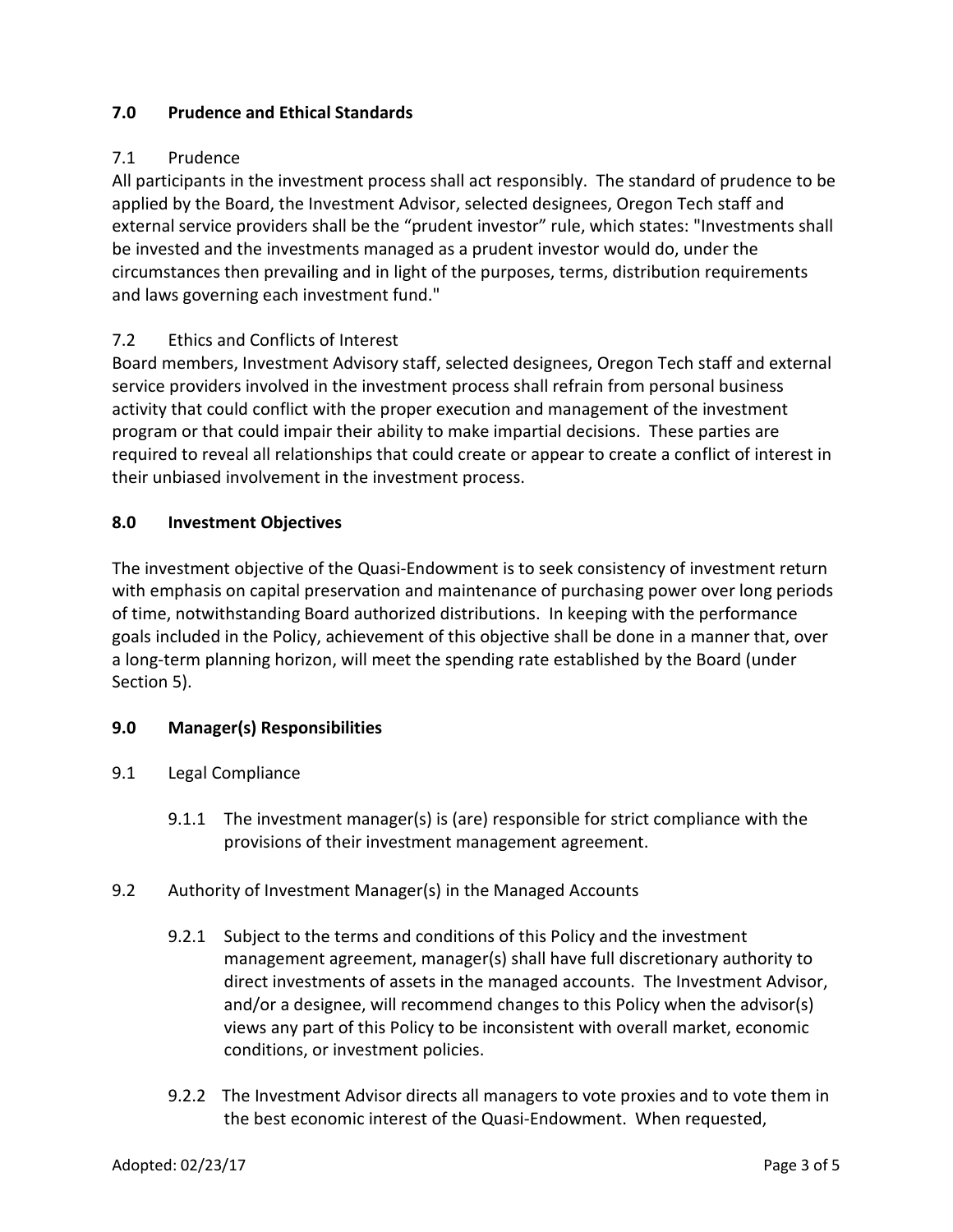## **7.0 Prudence and Ethical Standards**

# 7.1 Prudence

All participants in the investment process shall act responsibly. The standard of prudence to be applied by the Board, the Investment Advisor, selected designees, Oregon Tech staff and external service providers shall be the "prudent investor" rule, which states: "Investments shall be invested and the investments managed as a prudent investor would do, under the circumstances then prevailing and in light of the purposes, terms, distribution requirements and laws governing each investment fund."

## 7.2 Ethics and Conflicts of Interest

Board members, Investment Advisory staff, selected designees, Oregon Tech staff and external service providers involved in the investment process shall refrain from personal business activity that could conflict with the proper execution and management of the investment program or that could impair their ability to make impartial decisions. These parties are required to reveal all relationships that could create or appear to create a conflict of interest in their unbiased involvement in the investment process.

### **8.0 Investment Objectives**

The investment objective of the Quasi-Endowment is to seek consistency of investment return with emphasis on capital preservation and maintenance of purchasing power over long periods of time, notwithstanding Board authorized distributions. In keeping with the performance goals included in the Policy, achievement of this objective shall be done in a manner that, over a long-term planning horizon, will meet the spending rate established by the Board (under Section 5).

### **9.0 Manager(s) Responsibilities**

- 9.1 Legal Compliance
	- 9.1.1 The investment manager(s) is (are) responsible for strict compliance with the provisions of their investment management agreement.
- 9.2 Authority of Investment Manager(s) in the Managed Accounts
	- 9.2.1 Subject to the terms and conditions of this Policy and the investment management agreement, manager(s) shall have full discretionary authority to direct investments of assets in the managed accounts. The Investment Advisor, and/or a designee, will recommend changes to this Policy when the advisor(s) views any part of this Policy to be inconsistent with overall market, economic conditions, or investment policies.
	- 9.2.2 The Investment Advisor directs all managers to vote proxies and to vote them in the best economic interest of the Quasi-Endowment. When requested,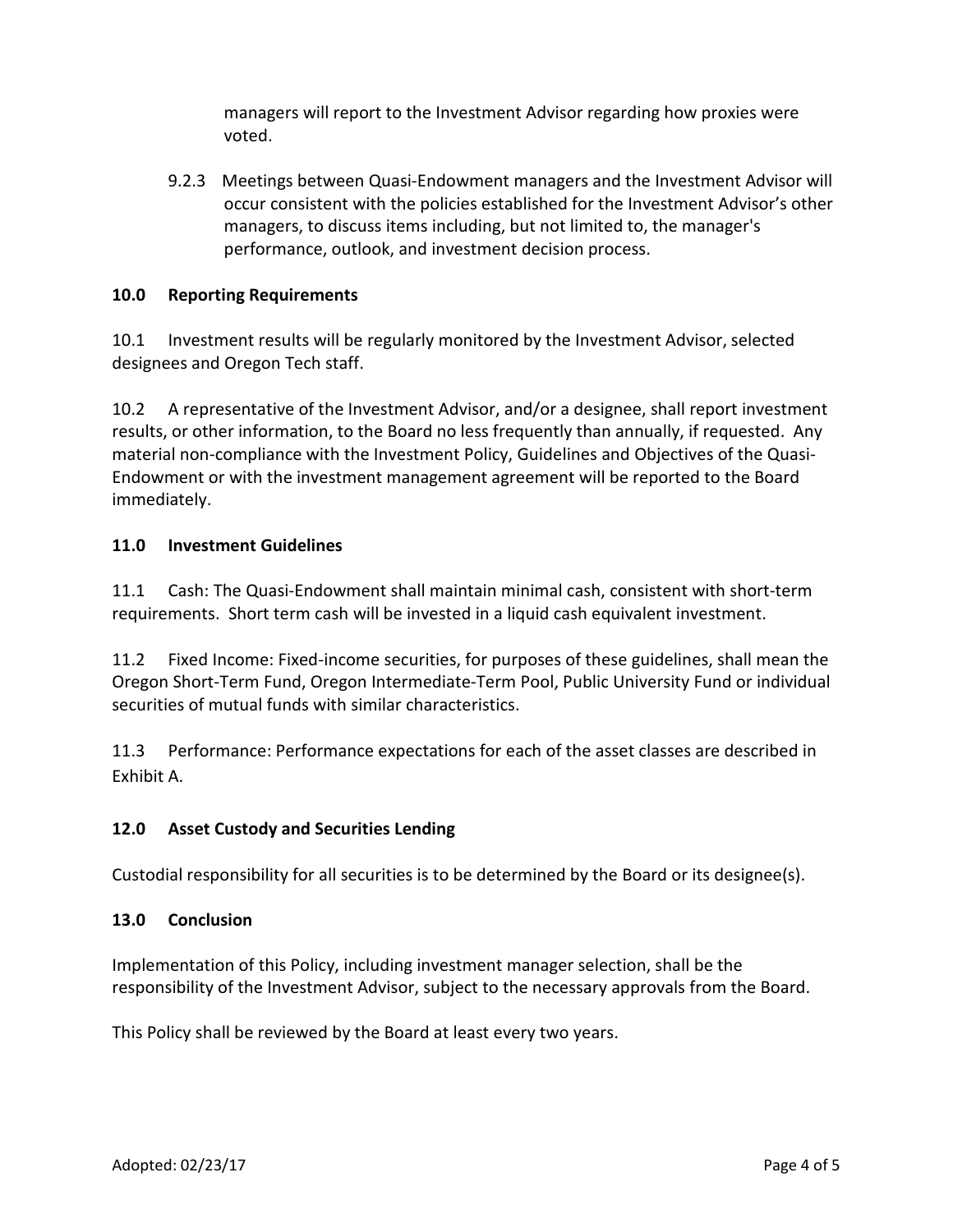managers will report to the Investment Advisor regarding how proxies were voted.

9.2.3 Meetings between Quasi-Endowment managers and the Investment Advisor will occur consistent with the policies established for the Investment Advisor's other managers, to discuss items including, but not limited to, the manager's performance, outlook, and investment decision process.

## **10.0 Reporting Requirements**

10.1 Investment results will be regularly monitored by the Investment Advisor, selected designees and Oregon Tech staff.

10.2 A representative of the Investment Advisor, and/or a designee, shall report investment results, or other information, to the Board no less frequently than annually, if requested. Any material non-compliance with the Investment Policy, Guidelines and Objectives of the Quasi-Endowment or with the investment management agreement will be reported to the Board immediately.

### **11.0 Investment Guidelines**

11.1 Cash: The Quasi-Endowment shall maintain minimal cash, consistent with short-term requirements. Short term cash will be invested in a liquid cash equivalent investment.

11.2 Fixed Income: Fixed-income securities, for purposes of these guidelines, shall mean the Oregon Short-Term Fund, Oregon Intermediate-Term Pool, Public University Fund or individual securities of mutual funds with similar characteristics.

11.3 Performance: Performance expectations for each of the asset classes are described in Exhibit A.

# **12.0 Asset Custody and Securities Lending**

Custodial responsibility for all securities is to be determined by the Board or its designee(s).

### **13.0 Conclusion**

Implementation of this Policy, including investment manager selection, shall be the responsibility of the Investment Advisor, subject to the necessary approvals from the Board.

This Policy shall be reviewed by the Board at least every two years.